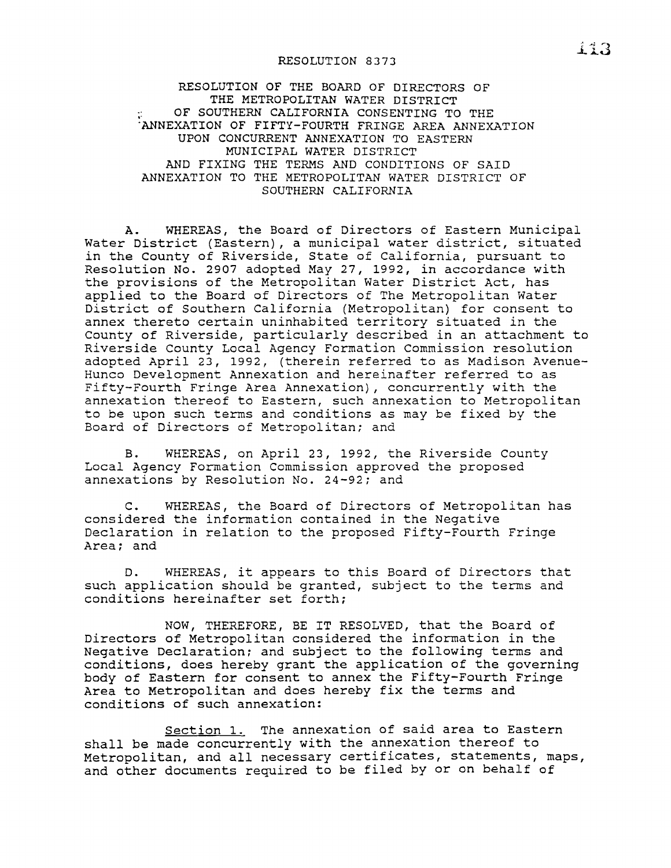## RESOLUTION 8373

## RESOLUTION OF THE BOARD OF DIRECTORS OF THE METROPOLITAN WATER DISTRICT OF SOUTHERN CALIFORNIA CONSENTING TO THE "ANNEXATION OF FIFTY-FOURTH FRINGE AREA ANNEXATION UPON CONCURRENT ANNEXATION TO EASTERN MUNICIPAL WATER DISTRICT AND FIXING THE TERMS AND CONDITIONS OF SAID ANNEXATION TO THE METROPOLITAN WATER DISTRICT OF SOUTHERN CALIFORNIA

A. WHEREAS, the Board of Directors of Eastern Municipal Water District (Eastern), <sup>a</sup> municipal water district, situated in the County of Riverside, State of California, pursuant to Resolution No. 2907 adopted May 27, 1992, in accordance with the provisions of the Metropolitan Water District Act, has applied to the Board of Directors of The Metropolitan Water District of Southern California (Metropolitan) for consent to annex thereto certain uninhabited territory situated in the County of Riverside, particularly described in an attachment to Riverside County Local Agency Formation Commission resolution adopted April 23, 1992, (therein referred to as Madison Avenue-Hunco Development Annexation and hereinafter referred to as Fifty-Fourth Fringe Area Annexation), concurrently with the annexation thereof to Eastern, such annexation to Metropolitan to be upon such terms and conditions as may be fixed by the Board of Directors of Metropolitan; and

B. WHEREAS, on April 23, 1992, the Riverside County Local Agency Formation Commission approved the proposed annexations by Resolution No. 24-92; and

C. WHEREAS, the Board of Directors of Metropolitan has considered the information contained in the Negative Declaration in relation to the proposed Fifty-Fourth Fringe Area; and

D. WHEREAS, it appears to this Board of Directors that such application should be granted, subject to the terms and conditions hereinafter set forth;

NOW, THEREFORE, BE IT RESOLVED, that the Board of Directors of Metropolitan considered the information in the Negative Declaration; and sUbject to the following terms and conditions, does hereby grant the application of the governing body of Eastern for consent to annex the Fifty-Fourth Fringe Area to Metropolitan and does hereby fix the terms and conditions of such annexation:

Section 1. The annexation of said area to Eastern shall be made concurrently with the annexation thereof to Metropolitan, and all necessary certificates, statements, maps, and other documents required to be filed by or on behalf of